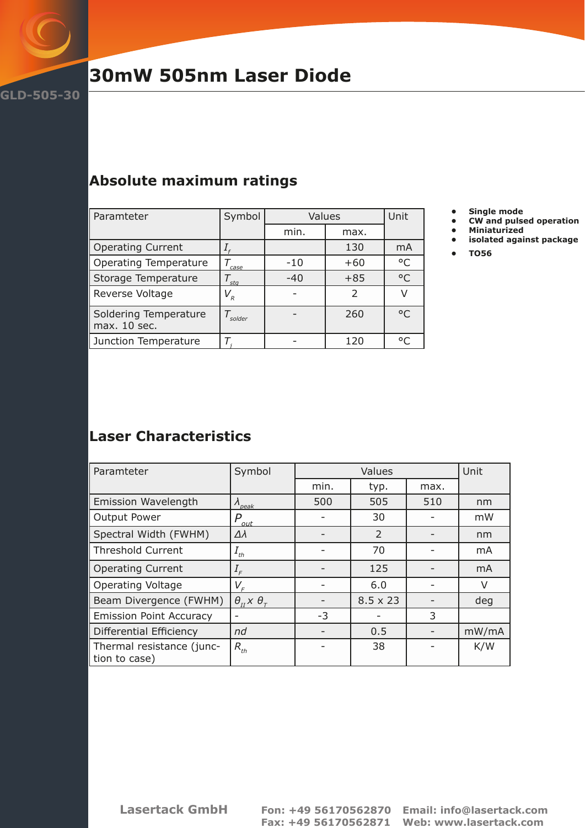

## **30mW 505nm Laser Diode**

## **Absolute maximum ratings**

| Paramteter                            | Symbol  | Values |                          | Unit         |
|---------------------------------------|---------|--------|--------------------------|--------------|
|                                       |         | min.   | max.                     |              |
| Operating Current                     |         |        | 130                      | mA           |
| Operating Temperature                 | case    | $-10$  | $+60$                    | $^{\circ}$ C |
| Storage Temperature                   | sta     | $-40$  | $+85$                    | $\circ$      |
| Reverse Voltage                       | $V_{R}$ |        | $\overline{\phantom{a}}$ |              |
| Soldering Temperature<br>max. 10 sec. | solder  |        | 260                      | $\circ$      |
| Junction Temperature                  |         |        | 120                      | $\circ$      |

- 
- **• Single mode • CW and pulsed operation**
- **• Miniaturized**
- **• isolated against package**
- **• TO56**

## **Laser Characteristics**

| Paramteter                                 | Symbol                               | Values |                 | Unit |       |
|--------------------------------------------|--------------------------------------|--------|-----------------|------|-------|
|                                            |                                      | min.   | typ.            | max. |       |
| <b>Emission Wavelength</b>                 | $\Lambda_{peak}$                     | 500    | 505             | 510  | nm    |
| Output Power                               | P<br>out                             |        | 30              |      | mW    |
| Spectral Width (FWHM)                      | $\Delta\lambda$                      |        | 2               |      | nm    |
| <b>Threshold Current</b>                   | $I_{th}$                             |        | 70              |      | mA    |
| <b>Operating Current</b>                   | $I_F$                                |        | 125             |      | mA    |
| <b>Operating Voltage</b>                   | $V_F$                                |        | 6.0             |      | V     |
| Beam Divergence (FWHM)                     | $\theta_{II}$ $\times \theta_{\tau}$ |        | $8.5 \times 23$ |      | deg   |
| <b>Emission Point Accuracy</b>             |                                      | $-3$   |                 | 3    |       |
| Differential Efficiency                    | nd                                   |        | 0.5             |      | mW/mA |
| Thermal resistance (junc-<br>tion to case) | $R_{th}$                             |        | 38              |      | K/W   |

**Lasertack GmbH Fon: +49 56170562870 Email: info@lasertack.com**

 **Fax: +49 56170562871 Web: www.lasertack.com**